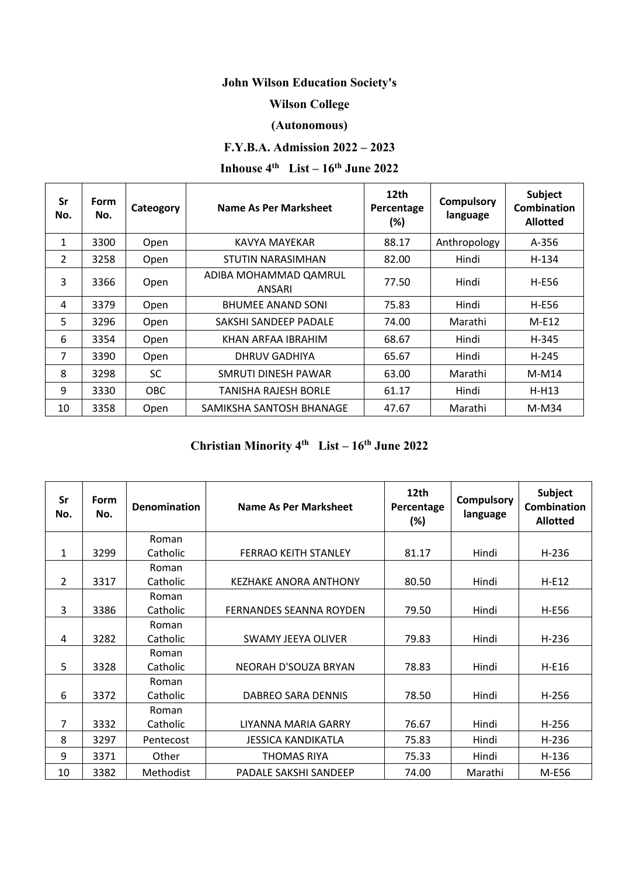### **John Wilson Education Society's**

#### **Wilson College**

#### **(Autonomous)**

#### **F.Y.B.A. Admission 2022 – 2023**

# **Inhouse**  $4^{th}$  **List –**  $16^{th}$  **June** 2022

| Sr<br>No.      | <b>Form</b><br>No. | Cateogory | Name As Per Marksheet           | 12th<br>Percentage<br>(%) | <b>Compulsory</b><br>language | Subject<br>Combination<br><b>Allotted</b> |
|----------------|--------------------|-----------|---------------------------------|---------------------------|-------------------------------|-------------------------------------------|
| 1              | 3300               | Open      | KAVYA MAYEKAR                   | 88.17                     | Anthropology                  | A-356                                     |
| $\overline{2}$ | 3258               | Open      | STUTIN NARASIMHAN               | 82.00                     | Hindi                         | H-134                                     |
| 3              | 3366               | Open      | ADIBA MOHAMMAD QAMRUL<br>ANSARI | 77.50                     | Hindi                         | H-E56                                     |
| 4              | 3379               | Open      | <b>BHUMEE ANAND SONI</b>        | 75.83                     | Hindi                         | H-E56                                     |
| 5              | 3296               | Open      | SAKSHI SANDEEP PADALE           | 74.00                     | Marathi                       | $M-E12$                                   |
| 6              | 3354               | Open      | KHAN ARFAA IBRAHIM              | 68.67                     | Hindi                         | H-345                                     |
| 7              | 3390               | Open      | <b>DHRUV GADHIYA</b>            | 65.67                     | Hindi                         | H-245                                     |
| 8              | 3298               | <b>SC</b> | SMRUTI DINESH PAWAR             | 63.00                     | Marathi                       | $M-M14$                                   |
| 9              | 3330               | OBC.      | TANISHA RAJESH BORLE            | 61.17                     | Hindi                         | $H-H13$                                   |
| 10             | 3358               | Open      | SAMIKSHA SANTOSH BHANAGE        | 47.67                     | Marathi                       | $M-M34$                                   |

## **Christian Minority 4th List – 16th June 2022**

| Sr<br>No.      | <b>Form</b><br>No. | <b>Denomination</b> | Name As Per Marksheet          | 12th<br>Percentage<br>$(\%)$ | <b>Compulsory</b><br>language | Subject<br><b>Combination</b><br><b>Allotted</b> |
|----------------|--------------------|---------------------|--------------------------------|------------------------------|-------------------------------|--------------------------------------------------|
|                |                    | Roman               |                                |                              |                               |                                                  |
| 1              | 3299               | Catholic            | <b>FERRAO KEITH STANLEY</b>    | 81.17                        | Hindi                         | $H-236$                                          |
|                |                    | Roman               |                                |                              |                               |                                                  |
| $\overline{2}$ | 3317               | Catholic            | KEZHAKE ANORA ANTHONY          | 80.50                        | Hindi                         | $H-E12$                                          |
|                |                    | Roman               |                                |                              |                               |                                                  |
| 3              | 3386               | Catholic            | <b>FERNANDES SEANNA ROYDEN</b> | 79.50                        | Hindi                         | H-E56                                            |
|                |                    | Roman               |                                |                              |                               |                                                  |
| 4              | 3282               | Catholic            | SWAMY JEEYA OLIVER             | 79.83                        | Hindi                         | $H-236$                                          |
|                |                    | Roman               |                                |                              |                               |                                                  |
| 5              | 3328               | Catholic            | NEORAH D'SOUZA BRYAN           | 78.83                        | Hindi                         | H-E16                                            |
|                |                    | Roman               |                                |                              |                               |                                                  |
| 6              | 3372               | Catholic            | DABREO SARA DENNIS             | 78.50                        | Hindi                         | $H-256$                                          |
|                |                    | Roman               |                                |                              |                               |                                                  |
| 7              | 3332               | Catholic            | LIYANNA MARIA GARRY            | 76.67                        | Hindi                         | $H-256$                                          |
| 8              | 3297               | Pentecost           | <b>JESSICA KANDIKATLA</b>      | 75.83                        | Hindi                         | $H-236$                                          |
| 9              | 3371               | Other               | THOMAS RIYA                    | 75.33                        | Hindi                         | $H-136$                                          |
| 10             | 3382               | Methodist           | PADALE SAKSHI SANDEEP          | 74.00                        | Marathi                       | M-E56                                            |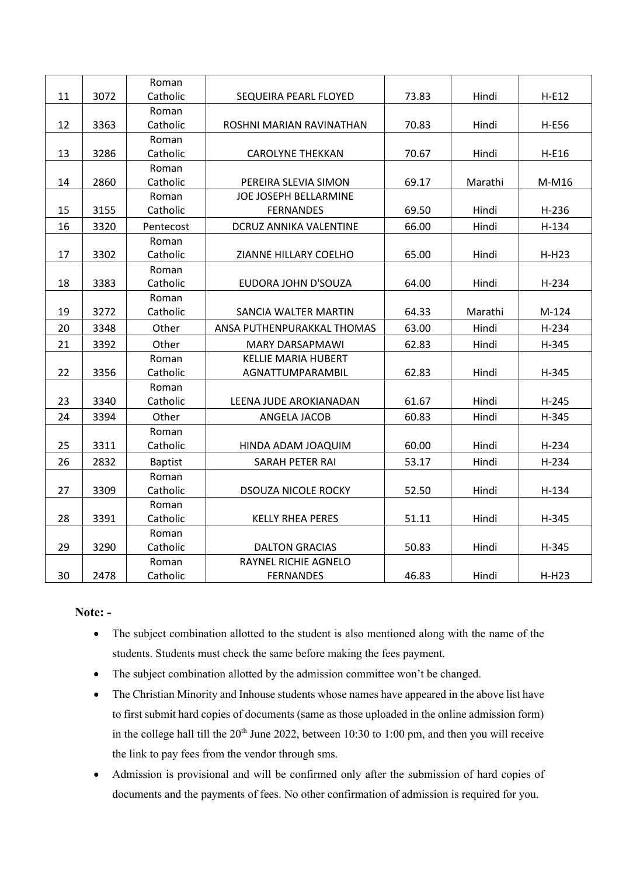|    |      | Roman          |                               |       |         |              |
|----|------|----------------|-------------------------------|-------|---------|--------------|
| 11 | 3072 | Catholic       | SEQUEIRA PEARL FLOYED         | 73.83 | Hindi   | $H-E12$      |
|    |      | Roman          |                               |       |         |              |
| 12 | 3363 | Catholic       | ROSHNI MARIAN RAVINATHAN      | 70.83 | Hindi   | <b>H-E56</b> |
|    |      | Roman          |                               |       |         |              |
| 13 | 3286 | Catholic       | <b>CAROLYNE THEKKAN</b>       | 70.67 | Hindi   | $H-E16$      |
|    |      | Roman          |                               |       |         |              |
| 14 | 2860 | Catholic       | PEREIRA SLEVIA SIMON          | 69.17 | Marathi | M-M16        |
|    |      | Roman          | JOE JOSEPH BELLARMINE         |       |         |              |
| 15 | 3155 | Catholic       | <b>FERNANDES</b>              | 69.50 | Hindi   | $H-236$      |
| 16 | 3320 | Pentecost      | <b>DCRUZ ANNIKA VALENTINE</b> | 66.00 | Hindi   | $H-134$      |
|    |      | Roman          |                               |       |         |              |
| 17 | 3302 | Catholic       | ZIANNE HILLARY COELHO         | 65.00 | Hindi   | $H-H23$      |
|    |      | Roman          |                               |       |         |              |
| 18 | 3383 | Catholic       | EUDORA JOHN D'SOUZA           | 64.00 | Hindi   | $H-234$      |
|    |      | Roman          |                               |       |         |              |
| 19 | 3272 | Catholic       | SANCIA WALTER MARTIN          | 64.33 | Marathi | M-124        |
| 20 | 3348 | Other          | ANSA PUTHENPURAKKAL THOMAS    | 63.00 | Hindi   | H-234        |
| 21 | 3392 | Other          | <b>MARY DARSAPMAWI</b>        | 62.83 | Hindi   | H-345        |
|    |      | Roman          | <b>KELLIE MARIA HUBERT</b>    |       |         |              |
| 22 | 3356 | Catholic       | AGNATTUMPARAMBIL              | 62.83 | Hindi   | H-345        |
|    |      | Roman          |                               |       |         |              |
| 23 | 3340 | Catholic       | LEENA JUDE AROKIANADAN        | 61.67 | Hindi   | $H-245$      |
| 24 | 3394 | Other          | ANGELA JACOB                  | 60.83 | Hindi   | H-345        |
|    |      | Roman          |                               |       |         |              |
| 25 | 3311 | Catholic       | HINDA ADAM JOAQUIM            | 60.00 | Hindi   | $H-234$      |
| 26 | 2832 | <b>Baptist</b> | SARAH PETER RAI               | 53.17 | Hindi   | $H-234$      |
|    |      | Roman          |                               |       |         |              |
| 27 | 3309 | Catholic       | <b>DSOUZA NICOLE ROCKY</b>    | 52.50 | Hindi   | $H-134$      |
|    |      | Roman          |                               |       |         |              |
| 28 | 3391 | Catholic       | <b>KELLY RHEA PERES</b>       | 51.11 | Hindi   | H-345        |
|    |      | Roman          |                               |       |         |              |
| 29 | 3290 | Catholic       | <b>DALTON GRACIAS</b>         | 50.83 | Hindi   | H-345        |
|    |      | Roman          | RAYNEL RICHIE AGNELO          |       |         |              |
| 30 | 2478 | Catholic       | <b>FERNANDES</b>              | 46.83 | Hindi   | $H-H23$      |

#### **Note: -**

- The subject combination allotted to the student is also mentioned along with the name of the students. Students must check the same before making the fees payment.
- The subject combination allotted by the admission committee won't be changed.
- The Christian Minority and Inhouse students whose names have appeared in the above list have to first submit hard copies of documents (same as those uploaded in the online admission form) in the college hall till the  $20<sup>th</sup>$  June 2022, between 10:30 to 1:00 pm, and then you will receive the link to pay fees from the vendor through sms.
- Admission is provisional and will be confirmed only after the submission of hard copies of documents and the payments of fees. No other confirmation of admission is required for you.